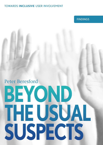# **TOWARDS INCLUSIVE USER INVOLVEMENT**

**FINDINGS** 

# Peter Beresford BEYOND THE USUAL SUSPECTS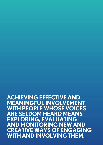**Achieving effective And meAningful involvement with people whose voices Are seldom heArd meAns exploring, evAluAting And monitoring new And creAtive wAys of engAging with And involving them.**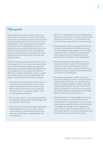# **Main points**

Public, patient and user involvement are now a requirement among many areas of public policy and services, particularly in health and social care. Some groups however, tend to be left out of such arrangements, often groups facing some of the greatest barriers and difficulties in their lives, making it even more difficult for their voices to be heard. The Developing Diversity in Involvement Project sought to find out more about who these groups are and how they can be more fully and equally involved.

Some of the key groups that are still often left out of arrangements for user involvement are people with alcohol and drug problems, young people, people who communicate differently, people who use residential services, people with learning difficulties, refugees and asylum seekers, people with complex support needs, older people and people from black and minority ethnic groups.

- The best way of involving such service users is reaching out to them and their communities rather than waiting for them to come to you. Direct contact and word of mouth work best. Don't just rely on 'community leaders', work to reach people themselves.
- Service users and their 'user led organisations' are especially well placed to 'build bridges' with such 'seldom heard voices'.
- Achieving effective and meaningful involvement with people whose voices are seldom heard means exploring, evaluating and monitoring new and creative ways of engaging with and involving them.
- Much user involvement still does not adequately address access issues. This means ensuring that the physical, information, communication and cultural access needs of service users are met.
- Disempowered service users, particularly those receiving residential and institutional services are often subject to 'gate keepers', who can stand in the way of their involvement. Sensitive and effective approaches are needed to avoid or overcome the resistance of such gatekeepers.
- The disempowerment and stigma that some service users face can becomes internalized and then act as an internal barrier to them getting involved. They are likely to benefit from capacity-building to support their empowerment to overcome such difficulties.
- The judgmental quality of public discussion about some groups of service users, particularly around alcohol and drug use, asylum seeking and mental health problems, helps create and sustain negative public attitudes. Other service users do not exist in a cultural vacuum and can also exhibit negative assumptions and attitudes towards such groups of service users.
- Getting involved can mean engaging with service user organisations as well as with formal arrangements for involvement. It can also mean people getting together outside of such schemes to campaign for change in more oppositional ways. There is now increasing interest in such activity and new forms are being developed using social media and social networking sites.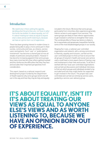BEYOND THE USUAL SUSPECTS FINDINGS

# **Introduction**

We need to be in there setting the agenda, deciding what the priorities are, not flown in after the horse has bolted. It's about equality, isn't it? It's about treating our views as equal to anyone else's views and as worth listening to, because we have an opinion born out of experience.

There has been growing interest in modern times in people being able to play a more active part in their society, community and lives, as citizens, service users and patients. Such 'user' or 'public/patient involvement' has become a shared goal across all shades of politicians and policymakers. However it has become increasing apparent that some groups face many more barriers than others getting involved and this reinforces the difficulties that they may face and excludes their important perspectives from consideration.

This report, based on a national research and development project funded by the Department of Health explores why some groups tend to be left out in this way and how they may be fully and equally included in the future. We know that some groups, particularly from minorities often experience generally inferior access to and support from services. The same groups are likely to have inferior opportunities to get involved in schemes to strengthen their voice. The combined effect of these two factors is likely to be to exacerbate and perpetuate inequalities faced by some of the most disadvantaged groups in our society.

Shaping Our Lives, a national user controlled organisation and network, with a strong commitment to diversity, equality and inclusion, carried out this user controlled project to find out how to ensure that all groups of long term health and social care service users could have a more equal chance of having a say and involvement in their lives and society. To do this it worked with four local user controlled organisations and carried out discussions and individual interviews to find out which groups and individuals tended to be excluded and how they might better be supported to get involved in the future. The project was user controlled and carried out entirely by service users, guided by a service user advisory group.

# **IT'S ABOUT EQUALITY, ISN'T IT? IT'S ABOUT TREATING OUR VIEWS AS EQUAL TO ANYONE ELSE'S VIEWS AND AS WORTH LISTENING TO, BECAUSE WE HAVE AN OPINION BORN OUT** OF EXPERIENCE.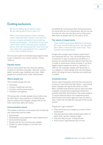# **Existing exclusions**

We are not talking about 'hard to reach'. We are talking about hard to listen to!!

When I first started going to these meetings… I didn't really feel that involved. I was often too nervous to speak and fearful that something terrible would happen … At the back of my mind, I didn't think I deserved anything as a disabled person. But now I would say that I have found my voice. And I don't just speak for me. I speak for a lot of other disabled people.

Service users seem to be denied equal opportunities to get involved for five overall reasons. These relate to:

### Equality issues

Service users report barriers they face getting involved on the basis of gender, ethnicity, culture, belief, sexuality, age, disability and class. Older people are conspicuously under-represented.

### Where people live

This includes people who are:

- Homeless
- Living in residential services
- In prison and the penal system
- Travellers and gypsies.

This group also includes people whose rights may be restricted. It also extends to a related group: asylum seekers and refugees; people who do not have citizenship rights and status.

### Communication issues

This relates to barriers on the basis both of ethnicity and impairment and includes:

- Deaf people
- Blind people and people with visual impairments
- Deaf and blind people
- People who do not communicate verbally
- People for whom English is not their first language.

An additional recent group often facing exclusions are those who are not computerate, who do not use the internet, who can now face some of the same difficulties as people who do not read or write.

### The nature of impairments

I was invited to give the perspective of someone who uses mental health services, but they didn't like it when I mentioned the voices I hear. They seemed a bit embarrassed.

People with complex and multiple impairments are frequently left out. This can be because their involvement is seen as expensive and difficult, or because of unevidenced assumptions that they are not able or interested in being involved. It can also happen where people are seen as 'awkward' or 'difficult' (for example, people with dementia). It is a category in which people who see themselves within the range of neuro-diversity are sometimes included.

### Unwanted voices

Service users frequently comment that some points of view are more welcome than others – particularly those of people who agree with what's on offer. More confident and assertive service users are often unpopular among those organizing involvement activities and often dismissed as 'the usual suspects'. To ensure diversity these more experienced and determined voices which agencies may not want to hear, need to be included as a key part of the overall picture.

People won't get involved if:

- They cannot see any change as a result of their involvement
- They feel decisions have already been taken on which their opinion is being sought
- They feel they are just 'ticking the box'
- Their access requirements are not met.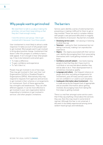# Why people want to get involved

We need them to talk to us about making the priorities, not just them keep telling us that they don't have enough money.

I love the service user group. I like to get involved with it because I love these people.

User involvement is most likely to attract a wide response if it takes account of why people want to get involved. Most people want to get involved to bring about positive change. Involvement that doesn't offer this prospect is unlikely to have a wide appeal. It isn't enough to hear what people say. It has to be listened to and acted upon:

- To make a difference
- To gain confidence and experience
- To 'tell it like it is'.

People may get involved in one of two ways. They may get involved in their own User Led Organisations (ULOs) or Disabled People's Organisations (DPOs). Alternatively they may respond to requests from agencies and services to get involved in their schemes or arrangements for involvement. Each of these approaches has strengths and weaknesses. They can offer different appeals. It can be most effective to get involved in your own organization before responding to invitations to get involved in services' and other people's invitations.

# The barriers

Service users identify a series of external barriers preventing or making it difficult for them to get or stay involved. These can work in complex relation with people's own personal difficulties to magnify their problems of exclusion. Key barriers included:

- Devaluing service users not valuing or listening to what they say
- Tokenism asking for their involvement but not taking it seriously, making it an unproductive experience
- Stigma the stigma associated with their service user identity discouraging them from associating themselves with it and getting involved on that basis
- Confidence and self-esteem low levels leaving people to feel that they don't have much to contribute or are worried about whether they will be able to do it. Their disempowerment is sometimes misread as apathy
- Language and culture the frequent reliance on jargon and other excluding arrangements for involvement, puts off many service users who are not confident in or used to such situations
- Inadequate information about involvement this is made worse by the frequent lack of appropriate and accessible information about getting involved, discouraging many from taking the first steps to getting involved.

There is a real fear amongst some service users that if they say anything critical about the services they use, then this may result in some kind of reprisal. Although this fear is not universal, it did seem to be widely experienced among some seldom heard groups and individuals.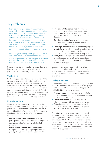# Key problems

I can feel really good about myself. I'm dressed smartly, I successfully negotiate all the hurdles in my way as I come to London, I feel proud of myself. Then I get to the meeting and when I enter the room everyone stops talking – just for a second – then people either ignore me or rush to help me, with that over-friendly smile and that over-friendly voice. And all the positive things I felt about myself before melt away, as I am patronized, pitied and treated different.

I like going to meetings where you don't have to explain yourself. This only happens in meetings where everyone else is a service user and service users are in charge. It is quite difficult to say exactly what the difference is. But it is there.

Service users identify three further major barriers in the way of their involvement, which also particularly exclude some groups. These are:

### **Gatekeepers**

Such self-appointed gatekeepers can serve both to prevent service users getting involved themselves and obstructing people and organisations trying to involve them. They can do this by denying them information or support. We ourselves encountered such gatekeepers undertaking the project. Effective ways of overcoming this problem are educating such gatekeepers, getting them 'on-side' and ensuring that service users have support to deal with them.

### Financial barriers

Financial barriers play an important part in the inclusion and exclusion of service users. They seem particularly to militate against the involvement of groups identified as 'seldom heard'. Service users highlighted the obstructing effects of money in relation to:

- Meeting service users' expenses when all participants' costs weren't met and paid speedily, particularly offputting people with limited resources
- Paying service users for their involvement recognising this widely accepted principle for participation, signifying service users' worth
- Problems with the benefit system  $-$  which is over-complex, suspicious and unclear and can discourage people from being reimbursed or getting involved at all, for fear of losing their benefits
- Covering the costs of involvement  $-$  where people may have high costs because of the nature of their situation or impairment
- Ensuring support for service user/disabled people's organisations - which generally financially insecure and underfunded may not have the funding to ensure as diverse involvement as they wish
- Money to make change funding is often (but not always) needed to make the changes indicated by user involvement and without it such change is unlikely to happen.

Undertaking inclusive user involvement has financial implications and it is crucial that these are recognised and addressed in all arrangements for user involvement if these are to be inclusive of diversity.

### Inadequate access

Inadequate access continues to be a major obstacle in the way of the involvement of many of the groups identified as 'seldom heard voices'. The project highlighted three areas of access:

- Physical access enabling people to negotiate the environment, including the built environment on as equal terms as possible
- Communication access including people who communicate differently on equal terms
- Cultural access challenging possible barriers created through class, organisational, gender, ethnic, or other cultural factors.

Each of these can take many expressions, work in negative relation with each other and have farreaching effects in excluding particular individuals and groups. A helpful rule of thumb to use is that everybody can express themselves, get involved in some way and contribute, if their access needs are properly met. Often this will demand innovative and imaginative approaches to improve access.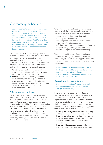# Overcoming the barriers

Going to a consultation where you know your access needs will be fully met, where nothing is too much trouble, and you don't have to feel constantly awkward; where ground rules are read out and stuck to, where it's ok to leave the room if you need too … But it's more than that – there's a shared understanding that we are coming from the same place. We recognise the link between us all as service users and disabled people.

To overcome the barriers in the way of diverse involvement, service users highlight the importance of recognising them and adopting a realistic approach to responding to them, rather than simplistic calls to be 'more diverse'. Two essentials emerge as crucial for inclusive involvement, both of which need to be in place. These are:

- Access ensuring all service users effective ways into organisations and decision-making structures to have a real say in them
- **Support** for example, building confidence and skills, offering practical help and opportunities to get together to work collectively to support people's empowerment and build their capacity so they are in a realistic position to respond to invitations to get involved.

### Different forms of involvement

Service users also stress the need to develop innovative approaches to involving people which can work for the widest range and move beyond traditional reliance on meetings and surveys, written and verbal skills. They prioritise developing a variety of methods of involvement that can work for different people and are based on different forms of communication. They highlight the helpfulness of meetings and activities that are organised by service users and/or are for service users only, offering them safe opportunities to develop their ideas and agendas.

Where meetings are still used, there are many ways in which these can be made more attractive and inclusive. Service users place an emphasis on:

- Service users having a good time and ensuring that they enjoy themselves
- Providing good, free food and refreshments which are culturally appropriate
- Offering a warm, safe and supportive environment
- People gaining knowledge, awareness and understanding from the events or meetings.

They identify a wide range of ways of doing this, for example, through providing entertainment (particularly by service users), supportive activities, informal and appropriate venues and encouraging networking.

What I find now is that they don't want me to be there. They would prefer a quiet and passive person. Not me, with my 'Hang on a minute there…' and my constant interruptions. I think they see me as awkward now.

### Outreach and development work

Sometimes you just don't know things and involvement helps you. You meet with people and get problems off your chest.

Service users emphasise the importance of reaching out to involve service users, especially those identified as 'hard to reach', rather than expecting them to come to you. In this way people who were isolated or weren't 'joiners' were more likely to be engaged, although service users do not feel this currently happens enough. Suggestions for outreach work included:

- Reaching out directly to service users checking out their views and what works best for them
- **Reaching out to their communities** for example local black and minority; ethnic communities, travellers' communities, people in residential services
- Reaching out to community leaders who command trust and can support service users to engage.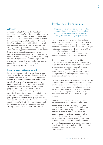### Advocacy

Advocacy is a key but under-developed component for supporting people's participation. It is especially important for people who are disempowered and isolated and this is true of many of those excluded by existing arrangements for user involvement. Five forms of advocacy are identified all of which help people speak and act for themselves. They are legal advocacy, professional advocacy, lay or citizen advocacy, peer advocacy and self-advocacy. Service users stress the importance of advocacy and also the essentials of advocacy if it is to make a difference and enable everyone to be at the starting line for getting involved, becoming empowered and making a difference. They also make clear that it is generally in short supply and not given enough priority by policymakers and services.

### Ensuring sustainable involvement

Key to ensuring the involvement of 'hard to reach' service users is providing on-going opportunities to get involved which over time make it possible to build trust and relationships with them. Such an infrastructural rather than ad-hoc, one-off approach to involvement makes for sustainable arrangements which are likely to attract new people as well as retaining others. This makes it possible to build up interest, experience and expertise. It supports the constant need to balance the mixture of new people and old hands, new participants from seldom heard groups and those more established activists, often dismissed as 'the usual suspects' with a track record of successful involvement. Inclusivity and effectiveness. Both are key for effective and inclusive involvement.

## Involvement from outside

The pensioners' group I belong to is a lifeline because it is political. We don't go and chat. We bring up issues about a better standard of living. We canvass. We go to parliament.

Many service users have become increasingly wary of getting involved with statutory and service organisations as often little may come of it. This has been exacerbated by cuts in services and major welfare reform policies which seem to take little notice of what disabled people and other service users say. Service users' organisations have also become more insecure and over-stretched.

There are three key expressions to this change. First, service users seem increasingly to be trying to get involved to make change outside of formal arrangements for user involvement, in more oppositional and conflict-based approaches, explicitly challenging government policy. This is taking the form of campaigning for and taking direct action to achieve change.

Second, service users are developing new collective forms of involvement which are accessible to them and take account of their impairments and barriers they may face. Many new campaigning and mutual aid groups have emerged. They are both working together to campaign with people with shared experience and also linking up with allied groups and causes.

New forms of service user campaigning and protest are often based on social media and social networking technologies. These also enable people to get involved in 'virtual' ways which can overcome many of the traditional barriers relating to 'access' and inclusion, equiring people to go to participation, rather than participation coming to them. Such service users are, blogging, vlogging, podcasting, tweeting and with their own facebook and other groups. They are impacting on mainstream media, as well as policymakers and the political process, influencing wider discussion and public consciousness.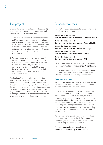# The project

Shaping Our Lives (www.shapingourlives.org.uk) is a national user controlled organisation and network. Its aims in this work were:

- 1. To try to find out from individual service users and from specific service user organisations their experience of truly diverse and meaningful involvement. We wanted to hear from those whose voices are 'seldom heard', what they perceive to be the barriers from their own perspectives and what they thought would be the most helpful ways forward.
- 2. We also wanted to hear from service users' own organisations, about their experiences of diversity; who was missing from their own organisations, what they understood the barriers to be and what they felt they could do to overcome these barriers to make their own organisations reflect the diversity of service users overall.

The findings from the project were based on individual interviews with 132 service users and just over 100 other service users contributed through participation in group interviews, through the local projects and via the project advisory group. Because of the way in which we carried out the project, many of the service users who were part of it are just those who might ordinarily be thought of as 'hard to reach' or 'seldom heard voices'.

# Project resources

Shaping Our Lives has produced a range of materials about inclusive user involvement.

Beyond the Usual Suspects: Towards inclusive User Involvement –Research Report

Beyond the Usual Suspects: Towards inclusive User Involvement – Practical Guide

Beyond the Usual Suspects: Towards inclusive User Involvement – Findings

Beyond the Usual Suspects: Towards inclusive User Involvement – Poster

Beyond the Usual Suspects: Towards inclusive User Involvement – DVD

You can find out how to get a hard copy or download a copy from:www.shapingourlives.org.uk/ourpubs.html

The website will also tell you how to get Word copies of the documents which can be downloaded for use with computer readers or in large font versions.

### Electronic resources

We offer a series of links to electronic resources that can offer people additional information and support towards enabling inclusive involvement.

These include examples of Shaping Our Lives' own forms that we use when we are holding events, 'get togethers' or consultations. They have all been developed over time with service users and they are continually being up-dated and changed as we receive feedback from service users. They are not meant to be telling people or organisations how they should do things. They are suggestions of what has worked for us when we are working with a diverse range of service users.

We are happy for anyone to reproduce any of these suggestions but we would like it if you would acknowledge that they were developed by service users working with Shaping Our Lives.

To access **electronic resources** please visit: www.shapingourlives.org.uk/ourpubs.html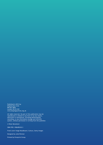Published in 2013 by Shaping Our Lives BM Box 4845 London WC1N 3XX www.shapingourlives.org.uk

All rights reserved. No part of this publication may be reproduced or utilized in any form or by any means, electronic or mechanical, including photocopying, recording, or any information storage and retrieval system, without permission in writing from the publisher.

© Peter Beresford

ISBN 978-1-906498-02-3

Front cover image Moodboard, Cultura, Getty Images

Designed by Julie Rimmer

Printed by Pureprint Group